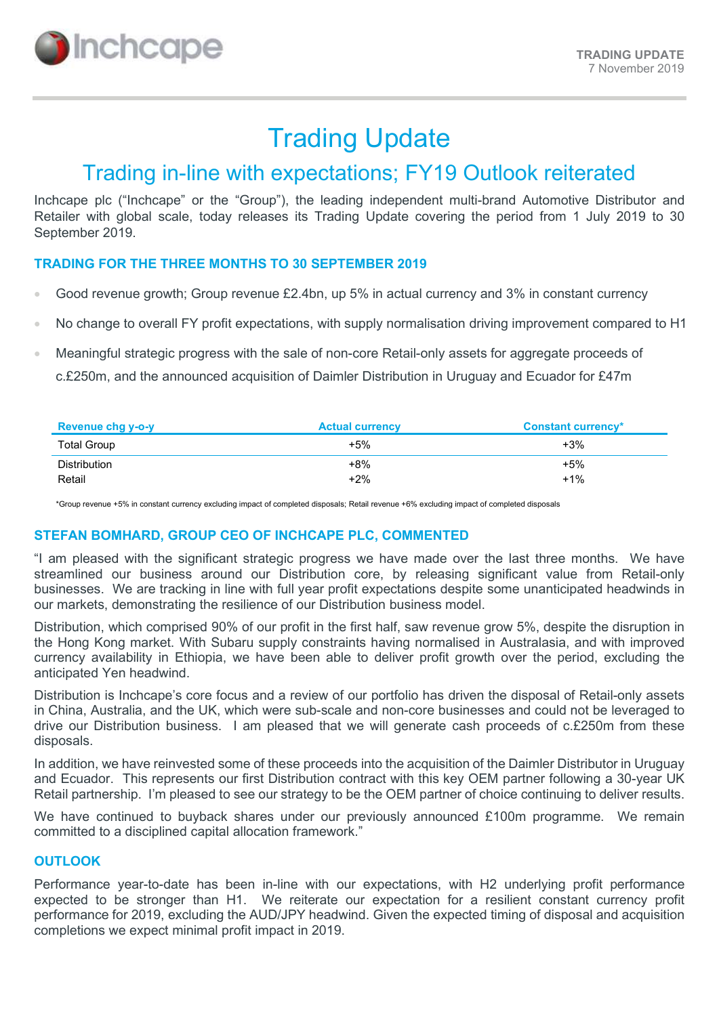

# Trading Update

## Trading in-line with expectations; FY19 Outlook reiterated

Inchcape plc ("Inchcape" or the "Group"), the leading independent multi-brand Automotive Distributor and Retailer with global scale, today releases its Trading Update covering the period from 1 July 2019 to 30 September 2019.

### TRADING FOR THE THREE MONTHS TO 30 SEPTEMBER 2019

- Good revenue growth; Group revenue £2.4bn, up 5% in actual currency and 3% in constant currency
- No change to overall FY profit expectations, with supply normalisation driving improvement compared to H1
- Meaningful strategic progress with the sale of non-core Retail-only assets for aggregate proceeds of c.£250m, and the announced acquisition of Daimler Distribution in Uruguay and Ecuador for £47m

| Revenue chg y-o-y   | <b>Actual currency</b> | <b>Constant currency*</b> |
|---------------------|------------------------|---------------------------|
| <b>Total Group</b>  | $+5%$                  | $+3%$                     |
| <b>Distribution</b> | $+8%$                  | $+5%$                     |
| Retail              | $+2%$                  | $+1\%$                    |

\*Group revenue +5% in constant currency excluding impact of completed disposals; Retail revenue +6% excluding impact of completed disposals

#### STEFAN BOMHARD, GROUP CEO OF INCHCAPE PLC, COMMENTED

"I am pleased with the significant strategic progress we have made over the last three months. We have streamlined our business around our Distribution core, by releasing significant value from Retail-only businesses. We are tracking in line with full year profit expectations despite some unanticipated headwinds in our markets, demonstrating the resilience of our Distribution business model.

Distribution, which comprised 90% of our profit in the first half, saw revenue grow 5%, despite the disruption in the Hong Kong market. With Subaru supply constraints having normalised in Australasia, and with improved currency availability in Ethiopia, we have been able to deliver profit growth over the period, excluding the anticipated Yen headwind.

Distribution is Inchcape's core focus and a review of our portfolio has driven the disposal of Retail-only assets in China, Australia, and the UK, which were sub-scale and non-core businesses and could not be leveraged to drive our Distribution business. I am pleased that we will generate cash proceeds of c.£250m from these disposals.

In addition, we have reinvested some of these proceeds into the acquisition of the Daimler Distributor in Uruguay and Ecuador. This represents our first Distribution contract with this key OEM partner following a 30-year UK Retail partnership. I'm pleased to see our strategy to be the OEM partner of choice continuing to deliver results.

We have continued to buyback shares under our previously announced £100m programme. We remain committed to a disciplined capital allocation framework."

#### **OUTLOOK**

Performance year-to-date has been in-line with our expectations, with H2 underlying profit performance expected to be stronger than H1. We reiterate our expectation for a resilient constant currency profit performance for 2019, excluding the AUD/JPY headwind. Given the expected timing of disposal and acquisition completions we expect minimal profit impact in 2019.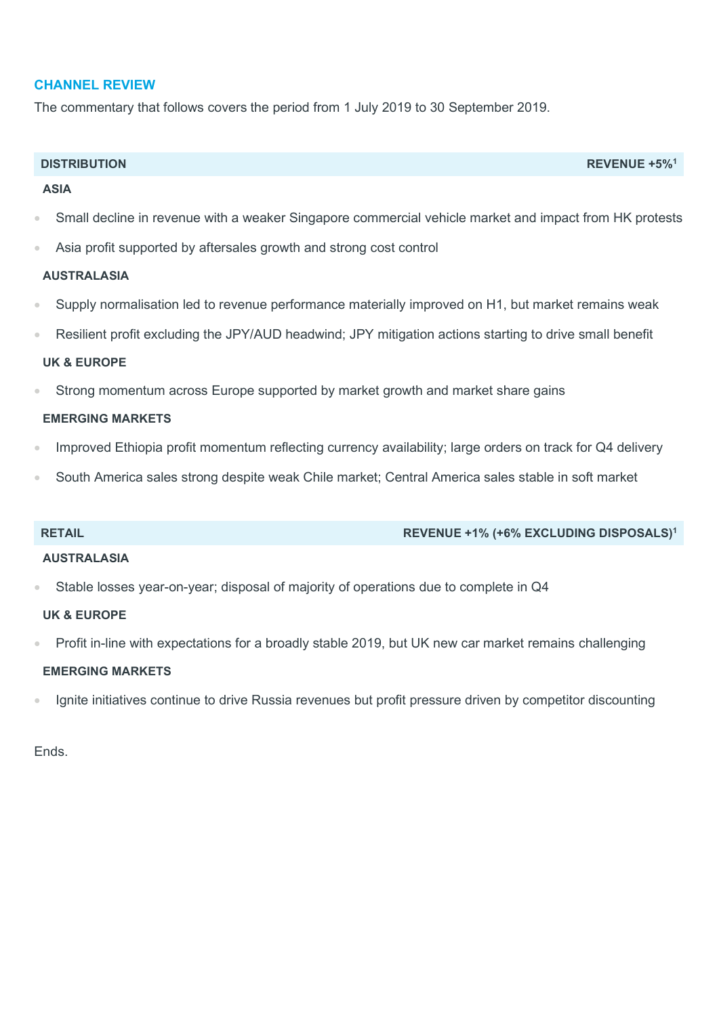#### CHANNEL REVIEW

The commentary that follows covers the period from 1 July 2019 to 30 September 2019.

#### DISTRIBUTION REVENUE +5%<sup>1</sup>

#### ASIA

- Small decline in revenue with a weaker Singapore commercial vehicle market and impact from HK protests
- Asia profit supported by aftersales growth and strong cost control

#### AUSTRALASIA

- Supply normalisation led to revenue performance materially improved on H1, but market remains weak
- Resilient profit excluding the JPY/AUD headwind; JPY mitigation actions starting to drive small benefit

#### UK & EUROPE

Strong momentum across Europe supported by market growth and market share gains

#### EMERGING MARKETS

- Improved Ethiopia profit momentum reflecting currency availability; large orders on track for Q4 delivery
- South America sales strong despite weak Chile market; Central America sales stable in soft market

#### RETAIL RETAIL REVENUE +1% (+6% EXCLUDING DISPOSALS)<sup>1</sup>

#### AUSTRALASIA

Stable losses year-on-year; disposal of majority of operations due to complete in Q4

#### UK & EUROPE

Profit in-line with expectations for a broadly stable 2019, but UK new car market remains challenging

#### EMERGING MARKETS

Ignite initiatives continue to drive Russia revenues but profit pressure driven by competitor discounting

Ends.